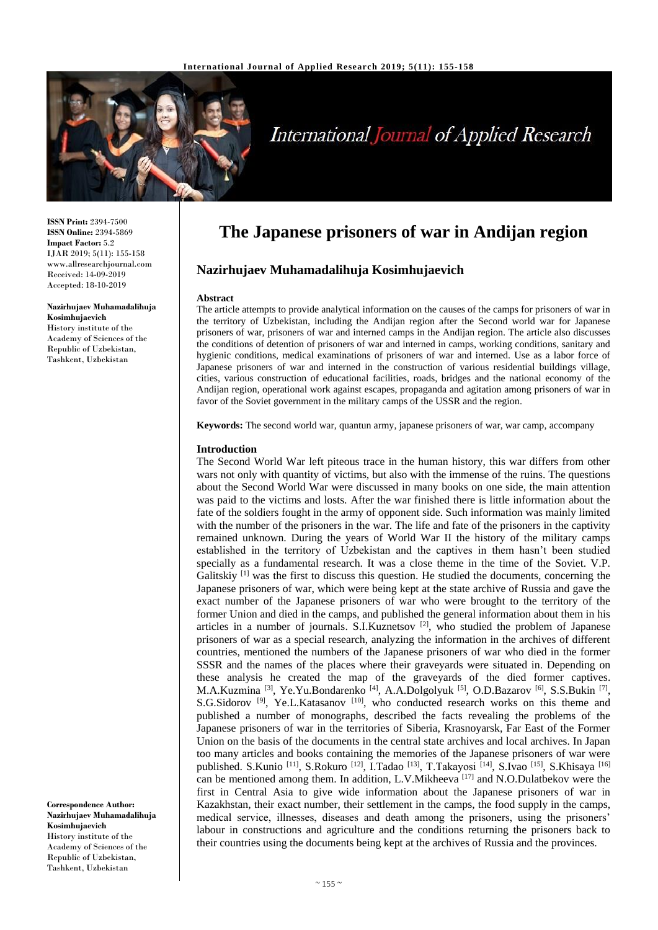

# **International Journal of Applied Research**

**ISSN Print:** 2394-7500 **ISSN Online:** 2394-5869 **Impact Factor:** 5.2 IJAR 2019; 5(11): 155-158 www.allresearchjournal.com Received: 14-09-2019 Accepted: 18-10-2019

#### **Nazirhujaev Muhamadalihuja Kosimhujaevich**

History institute of the Academy of Sciences of the Republic of Uzbekistan, Tashkent, Uzbekistan

**Correspondence Author: Nazirhujaev Muhamadalihuja Kosimhujaevich** History institute of the Academy of Sciences of the Republic of Uzbekistan, Tashkent, Uzbekistan

## **The Japanese prisoners of war in Andijan region**

### **Nazirhujaev Muhamadalihuja Kosimhujaevich**

#### **Abstract**

The article attempts to provide analytical information on the causes of the camps for prisoners of war in the territory of Uzbekistan, including the Andijan region after the Second world war for Japanese prisoners of war, prisoners of war and interned camps in the Andijan region. The article also discusses the conditions of detention of prisoners of war and interned in camps, working conditions, sanitary and hygienic conditions, medical examinations of prisoners of war and interned. Use as a labor force of Japanese prisoners of war and interned in the construction of various residential buildings village, cities, various construction of educational facilities, roads, bridges and the national economy of the Andijan region, operational work against escapes, propaganda and agitation among prisoners of war in favor of the Soviet government in the military camps of the USSR and the region.

**Keywords:** The second world war, quantun army, japanese prisoners of war, war camp, accompany

#### **Introduction**

The Second World War left piteous trace in the human history, this war differs from other wars not only with quantity of victims, but also with the immense of the ruins. The questions about the Second World War were discussed in many books on one side, the main attention was paid to the victims and losts. After the war finished there is little information about the fate of the soldiers fought in the army of opponent side. Such information was mainly limited with the number of the prisoners in the war. The life and fate of the prisoners in the captivity remained unknown. During the years of World War II the history of the military camps established in the territory of Uzbekistan and the captives in them hasn't been studied specially as a fundamental research. It was a close theme in the time of the Soviet. V.P. Galitskiy [1] was the first to discuss this question. He studied the documents, concerning the Japanese prisoners of war, which were being kept at the state archive of Russia and gave the exact number of the Japanese prisoners of war who were brought to the territory of the former Union and died in the camps, and published the general information about them in his articles in a number of journals. S.I.Kuznetsov  $[2]$ , who studied the problem of Japanese prisoners of war as a special research, analyzing the information in the archives of different countries, mentioned the numbers of the Japanese prisoners of war who died in the former SSSR and the names of the places where their graveyards were situated in. Depending on these analysis he created the map of the graveyards of the died former captives. M.A.Kuzmina<sup>[3]</sup>, Ye.Yu.Bondarenko<sup>[4]</sup>, A.A.Dolgolyuk<sup>[5]</sup>, O.D.Bazarov<sup>[6]</sup>, S.S.Bukin<sup>[7]</sup>, S.G.Sidorov<sup>[9]</sup>, Ye.L.Katasanov<sup>[10]</sup>, who conducted research works on this theme and published a number of monographs, described the facts revealing the problems of the Japanese prisoners of war in the territories of Siberia, Krasnoyarsk, Far East of the Former Union on the basis of the documents in the central state archives and local archives. In Japan too many articles and books containing the memories of the Japanese prisoners of war were published. S.Kunio <sup>[11]</sup>, S.Rokuro <sup>[12]</sup>, I.Tadao <sup>[13]</sup>, T.Takayosi <sup>[14]</sup>, S.Ivao <sup>[15]</sup>, S.Khisaya <sup>[16]</sup> can be mentioned among them. In addition, L.V.Mikheeva<sup>[17]</sup> and N.O.Dulatbekov were the first in Central Asia to give wide information about the Japanese prisoners of war in Kazakhstan, their exact number, their settlement in the camps, the food supply in the camps, medical service, illnesses, diseases and death among the prisoners, using the prisoners' labour in constructions and agriculture and the conditions returning the prisoners back to their countries using the documents being kept at the archives of Russia and the provinces.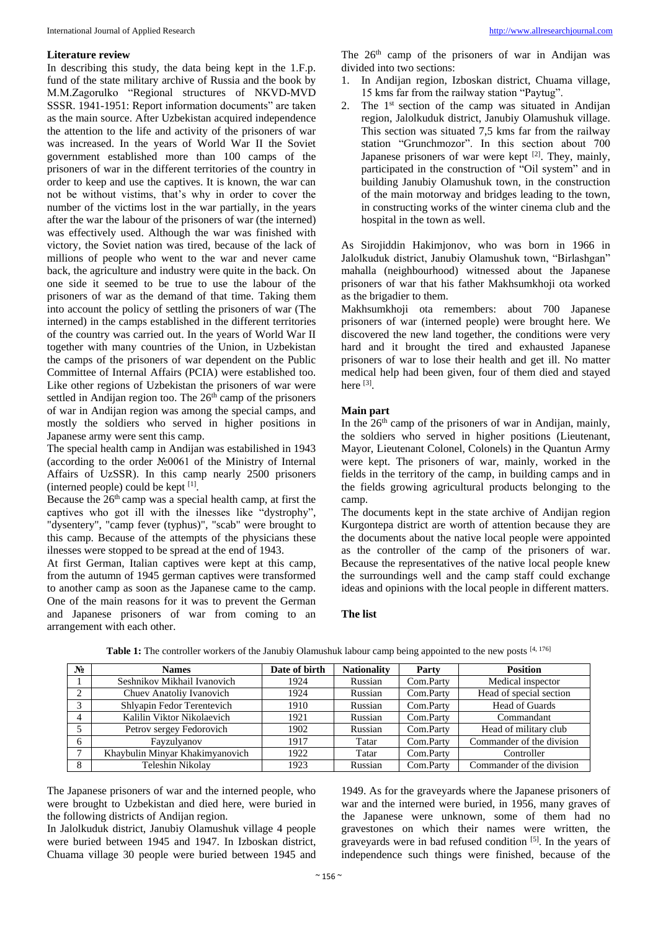#### **Literature review**

In describing this study, the data being kept in the 1.F.p. fund of the state military archive of Russia and the book by M.M.Zagorulko "Regional structures of NKVD-MVD SSSR. 1941-1951: Report information documents" are taken as the main source. After Uzbekistan acquired independence the attention to the life and activity of the prisoners of war was increased. In the years of World War II the Soviet government established more than 100 camps of the prisoners of war in the different territories of the country in order to keep and use the captives. It is known, the war can not be without vistims, that's why in order to cover the number of the victims lost in the war partially, in the years after the war the labour of the prisoners of war (the interned) was effectively used. Although the war was finished with victory, the Soviet nation was tired, because of the lack of millions of people who went to the war and never came back, the agriculture and industry were quite in the back. On one side it seemed to be true to use the labour of the prisoners of war as the demand of that time. Taking them into account the policy of settling the prisoners of war (The interned) in the camps established in the different territories of the country was carried out. In the years of World War II together with many countries of the Union, in Uzbekistan the camps of the prisoners of war dependent on the Public Committee of Internal Affairs (PCIA) were established too. Like other regions of Uzbekistan the prisoners of war were settled in Andijan region too. The  $26<sup>th</sup>$  camp of the prisoners of war in Andijan region was among the special camps, and mostly the soldiers who served in higher positions in Japanese army were sent this camp.

The special health camp in Andijan was estabilished in 1943 (according to the order №0061 of the Ministry of Internal Affairs of UzSSR). In this camp nearly 2500 prisoners (interned people) could be kept  $[1]$ .

Because the  $26<sup>th</sup>$  camp was a special health camp, at first the captives who got ill with the ilnesses like "dystrophy", "dysentery", "camp fever (typhus)", "scab" were brought to this camp. Because of the attempts of the physicians these ilnesses were stopped to be spread at the end of 1943.

At first German, Italian captives were kept at this camp, from the autumn of 1945 german captives were transformed to another camp as soon as the Japanese came to the camp. One of the main reasons for it was to prevent the German and Japanese prisoners of war from coming to an arrangement with each other.

The 26<sup>th</sup> camp of the prisoners of war in Andijan was divided into two sections:

- 1. In Andijan region, Izboskan district, Chuama village, 15 kms far from the railway station "Paytug".
- 2. The 1<sup>st</sup> section of the camp was situated in Andijan region, Jalolkuduk district, Janubiy Olamushuk village. This section was situated 7,5 kms far from the railway station "Grunchmozor". In this section about 700 Japanese prisoners of war were kept [2]. They, mainly, participated in the construction of "Oil system" and in building Janubiy Olamushuk town, in the construction of the main motorway and bridges leading to the town, in constructing works of the winter cinema club and the hospital in the town as well.

As Sirojiddin Hakimjonov, who was born in 1966 in Jalolkuduk district, Janubiy Olamushuk town, "Birlashgan" mahalla (neighbourhood) witnessed about the Japanese prisoners of war that his father Makhsumkhoji ota worked as the brigadier to them.

Makhsumkhoji ota remembers: about 700 Japanese prisoners of war (interned people) were brought here. We discovered the new land together, the conditions were very hard and it brought the tired and exhausted Japanese prisoners of war to lose their health and get ill. No matter medical help had been given, four of them died and stayed here [3].

#### **Main part**

In the 26th camp of the prisoners of war in Andijan, mainly, the soldiers who served in higher positions (Lieutenant, Mayor, Lieutenant Colonel, Colonels) in the Quantun Army were kept. The prisoners of war, mainly, worked in the fields in the territory of the camp, in building camps and in the fields growing agricultural products belonging to the camp.

The documents kept in the state archive of Andijan region Kurgontepa district are worth of attention because they are the documents about the native local people were appointed as the controller of the camp of the prisoners of war. Because the representatives of the native local people knew the surroundings well and the camp staff could exchange ideas and opinions with the local people in different matters.

#### **The list**

| $N_2$ | <b>Names</b>                    | Date of birth | <b>Nationality</b> | Party     | <b>Position</b>           |
|-------|---------------------------------|---------------|--------------------|-----------|---------------------------|
|       | Seshnikov Mikhail Ivanovich     | 1924          | Russian            | Com.Party | Medical inspector         |
|       | Chuev Anatoliy Ivanovich        | 1924          | Russian            | Com.Party | Head of special section   |
|       | Shlyapin Fedor Terentevich      | 1910          | Russian            | Com.Party | Head of Guards            |
| 4     | Kalilin Viktor Nikolaevich      | 1921          | Russian            | Com.Party | Commandant                |
|       | Petrov sergey Fedorovich        | 1902          | Russian            | Com.Party | Head of military club     |
| 6     | Fayzulyanov                     | 1917          | Tatar              | Com.Party | Commander of the division |
|       | Khaybulin Minyar Khakimyanovich | 1922          | Tatar              | Com.Party | Controller                |
| 8     | Teleshin Nikolav                | 1923          | Russian            | Com.Party | Commander of the division |

**Table 1:** The controller workers of the Janubiy Olamushuk labour camp being appointed to the new posts [4, 176]

The Japanese prisoners of war and the interned people, who were brought to Uzbekistan and died here, were buried in the following districts of Andijan region.

In Jalolkuduk district, Janubiy Olamushuk village 4 people were buried between 1945 and 1947. In Izboskan district, Chuama village 30 people were buried between 1945 and

1949. As for the graveyards where the Japanese prisoners of war and the interned were buried, in 1956, many graves of the Japanese were unknown, some of them had no gravestones on which their names were written, the graveyards were in bad refused condition [5]. In the years of independence such things were finished, because of the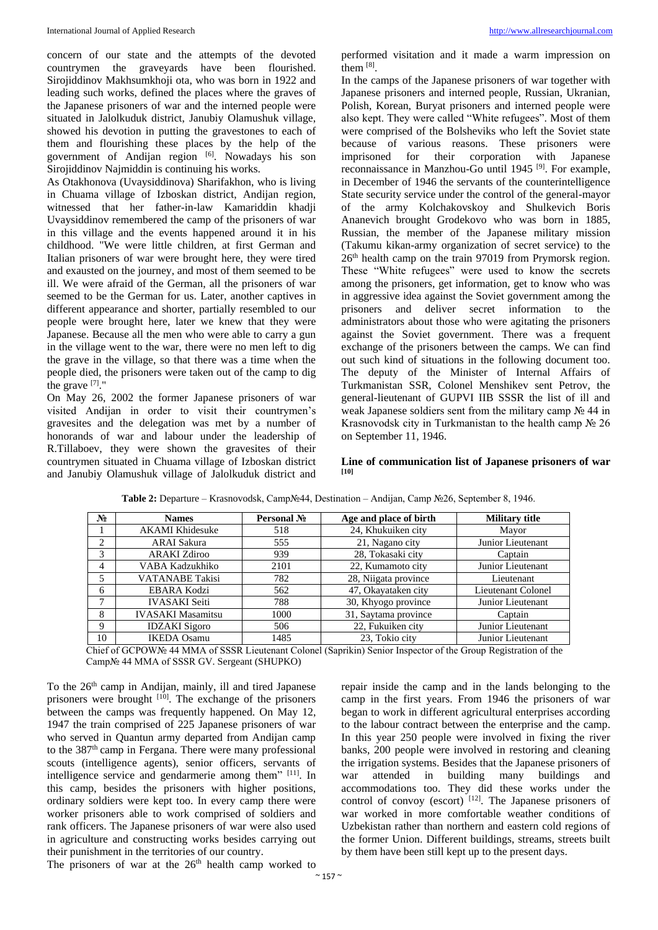concern of our state and the attempts of the devoted countrymen the graveyards have been flourished. Sirojiddinov Makhsumkhoji ota, who was born in 1922 and leading such works, defined the places where the graves of the Japanese prisoners of war and the interned people were situated in Jalolkuduk district, Janubiy Olamushuk village, showed his devotion in putting the gravestones to each of them and flourishing these places by the help of the government of Andijan region [6]. Nowadays his son Sirojiddinov Najmiddin is continuing his works.

As Otakhonova (Uvaysiddinova) Sharifakhon, who is living in Chuama village of Izboskan district, Andijan region, witnessed that her father-in-law Kamariddin khadji Uvaysiddinov remembered the camp of the prisoners of war in this village and the events happened around it in his childhood. "We were little children, at first German and Italian prisoners of war were brought here, they were tired and exausted on the journey, and most of them seemed to be ill. We were afraid of the German, all the prisoners of war seemed to be the German for us. Later, another captives in different appearance and shorter, partially resembled to our people were brought here, later we knew that they were Japanese. Because all the men who were able to carry a gun in the village went to the war, there were no men left to dig the grave in the village, so that there was a time when the people died, the prisoners were taken out of the camp to dig the grave  $^{[7]}$ ."

On May 26, 2002 the former Japanese prisoners of war visited Andijan in order to visit their countrymen's gravesites and the delegation was met by a number of honorands of war and labour under the leadership of R.Tillaboev, they were shown the gravesites of their countrymen situated in Chuama village of Izboskan district and Janubiy Olamushuk village of Jalolkuduk district and performed visitation and it made a warm impression on them [8].

In the camps of the Japanese prisoners of war together with Japanese prisoners and interned people, Russian, Ukranian, Polish, Korean, Buryat prisoners and interned people were also kept. They were called "White refugees". Most of them were comprised of the Bolsheviks who left the Soviet state because of various reasons. These prisoners were imprisoned for their corporation with Japanese reconnaissance in Manzhou-Go until 1945<sup>[9]</sup>. For example, in December of 1946 the servants of the counterintelligence State security service under the control of the general-mayor of the army Kolchakovskoy and Shulkevich Boris Ananevich brought Grodekovo who was born in 1885, Russian, the member of the Japanese military mission (Takumu kikan-army organization of secret service) to the 26th health camp on the train 97019 from Prymorsk region. These "White refugees" were used to know the secrets among the prisoners, get information, get to know who was in aggressive idea against the Soviet government among the prisoners and deliver secret information to the administrators about those who were agitating the prisoners against the Soviet government. There was a frequent exchange of the prisoners between the camps. We can find out such kind of situations in the following document too. The deputy of the Minister of Internal Affairs of Turkmanistan SSR, Colonel Menshikev sent Petrov, the general-lieutenant of GUPVI IIB SSSR the list of ill and weak Japanese soldiers sent from the military camp № 44 in Krasnovodsk city in Turkmanistan to the health camp № 26 on September 11, 1946.

#### **Line of communication list of Japanese prisoners of war [10]**

| N. | <b>Names</b>             | Personal No | Age and place of birth | <b>Military title</b> |
|----|--------------------------|-------------|------------------------|-----------------------|
|    | <b>AKAMI</b> Khidesuke   | 518         | 24, Khukuiken city     | Mayor                 |
| 2  | ARAI Sakura              | 555         | 21, Nagano city        | Junior Lieutenant     |
| 3  | ARAKI Zdiroo             | 939         | 28, Tokasaki city      | Captain               |
| 4  | VABA Kadzukhiko          | 2101        | 22, Kumamoto city      | Junior Lieutenant     |
| 5  | <b>VATANABE</b> Takisi   | 782         | 28, Niigata province   | Lieutenant            |
| 6  | <b>EBARA Kodzi</b>       | 562         | 47, Okayataken city    | Lieutenant Colonel    |
| 7  | <b>IVASAKI</b> Seiti     | 788         | 30, Khyogo province    | Junior Lieutenant     |
| 8  | <b>IVASAKI</b> Masamitsu | 1000        | 31, Saytama province   | Captain               |
| 9  | <b>IDZAKI</b> Sigoro     | 506         | 22, Fukuiken city      | Junior Lieutenant     |
| 10 | <b>IKEDA</b> Osamu       | 1485        | 23. Tokio city         | Junior Lieutenant     |

**Table 2:** Departure – Krasnovodsk, Camp№44, Destination – Andijan, Camp №26, September 8, 1946.

Chief of GCPOW№ 44 MMA of SSSR Lieutenant Colonel (Saprikin) Senior Inspector of the Group Registration of the Camp№ 44 MMA of SSSR GV. Sergeant (SHUPKO)

To the 26<sup>th</sup> camp in Andijan, mainly, ill and tired Japanese prisoners were brought  $[10]$ . The exchange of the prisoners between the camps was frequently happened. On May 12, 1947 the train comprised of 225 Japanese prisoners of war who served in Quantun army departed from Andijan camp to the 387th camp in Fergana. There were many professional scouts (intelligence agents), senior officers, servants of intelligence service and gendarmerie among them<sup>" [11]</sup>. In this camp, besides the prisoners with higher positions, ordinary soldiers were kept too. In every camp there were worker prisoners able to work comprised of soldiers and rank officers. The Japanese prisoners of war were also used in agriculture and constructing works besides carrying out their punishment in the territories of our country.

The prisoners of war at the  $26<sup>th</sup>$  health camp worked to

repair inside the camp and in the lands belonging to the camp in the first years. From 1946 the prisoners of war began to work in different agricultural enterprises according to the labour contract between the enterprise and the camp. In this year 250 people were involved in fixing the river banks, 200 people were involved in restoring and cleaning the irrigation systems. Besides that the Japanese prisoners of war attended in building many buildings and accommodations too. They did these works under the control of convoy (escort) <a>[12]</a>. The Japanese prisoners of war worked in more comfortable weather conditions of Uzbekistan rather than northern and eastern cold regions of the former Union. Different buildings, streams, streets built by them have been still kept up to the present days.